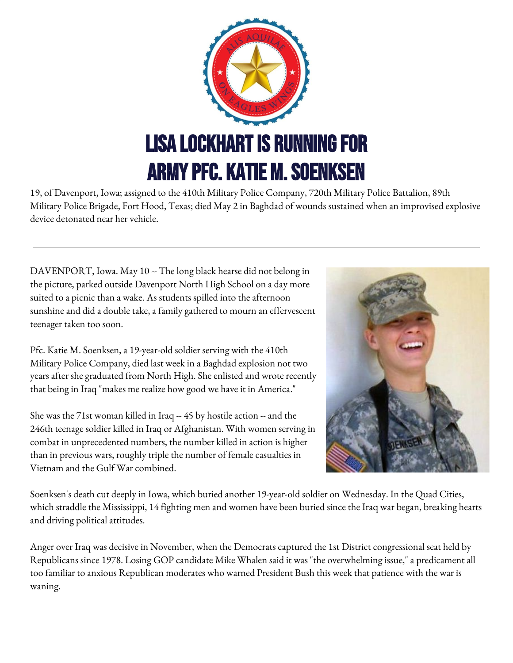

19, of Davenport, Iowa; assigned to the 410th Military Police Company, 720th Military Police Battalion, 89th Military Police Brigade, Fort Hood, Texas; died May 2 in Baghdad of wounds sustained when an improvised explosive device detonated near her vehicle.

DAVENPORT, Iowa. May 10 -- The long black hearse did not belong in the picture, parked outside Davenport North High School on a day more suited to a picnic than a wake. As students spilled into the afternoon sunshine and did a double take, a family gathered to mourn an effervescent teenager taken too soon.

Pfc. Katie M. Soenksen, a 19-year-old soldier serving with the 410th Military Police Company, died last week in a Baghdad explosion not two years after she graduated from North High. She enlisted and wrote recently that being in Iraq "makes me realize how good we have it in America."

She was the 71st woman killed in Iraq -- 45 by hostile action -- and the 246th teenage soldier killed in Iraq or Afghanistan. With women serving in combat in unprecedented numbers, the number killed in action is higher than in previous wars, roughly triple the number of female casualties in Vietnam and the Gulf War combined.



Soenksen's death cut deeply in Iowa, which buried another 19-year-old soldier on Wednesday. In the Quad Cities, which straddle the Mississippi, 14 fighting men and women have been buried since the Iraq war began, breaking hearts and driving political attitudes.

Anger over Iraq was decisive in November, when the Democrats captured the 1st District congressional seat held by Republicans since 1978. Losing GOP candidate Mike Whalen said it was "the overwhelming issue," a predicament all too familiar to anxious Republican moderates who warned President Bush this week that patience with the war is waning.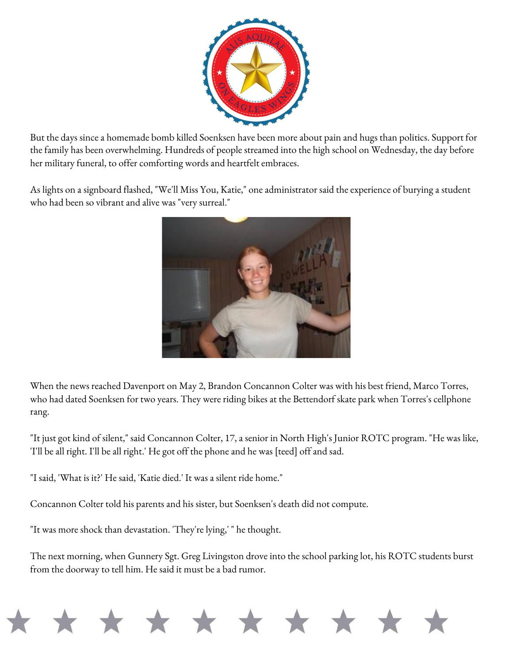

But the days since a homemade bomb killed Soenksen have been more about pain and hugs than politics. Support for the family has been overwhelming. Hundreds of people streamed into the high school on Wednesday, the day before her military funeral, to offer comforting words and heartfelt embraces.

As lights on a signboard flashed, "We'll Miss You, Katie," one administrator said the experience of burying a student who had been so vibrant and alive was "very surreal."



When the news reached Davenport on May 2, Brandon Concannon Colter was with his best friend, Marco Torres, who had dated Soenksen for two years. They were riding bikes at the Bettendorf skate park when Torres's cellphone rang.

"It just got kind of silent," said Concannon Colter, 17, a senior in North High's Junior ROTC program. "He was like, 'I'll be all right. I'll be all right.' He got off the phone and he was [teed] off and sad.

"I said, 'What is it?' He said, 'Katie died.' It was a silent ride home."

Concannon Colter told his parents and his sister, but Soenksen's death did not compute.

"It was more shock than devastation. 'They're lying,' " he thought.

The next morning, when Gunnery Sgt. Greg Livingston drove into the school parking lot, his ROTC students burst from the doorway to tell him. He said it must be a bad rumor.

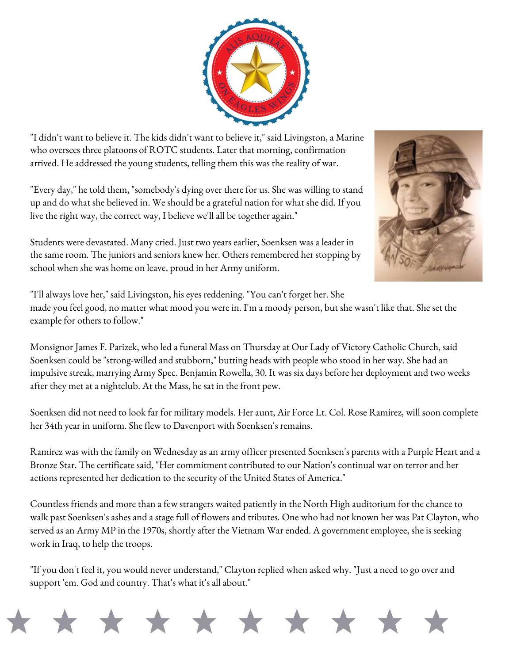

"I didn't want to believe it. The kids didn't want to believe it," said Livingston, a Marine who oversees three platoons of ROTC students. Later that morning, confirmation arrived. He addressed the young students, telling them this was the reality of war.

"Every day," he told them, "somebody's dying over there for us. She was willing to stand up and do what she believed in. We should be a grateful nation for what she did. If you live the right way, the correct way, I believe we'll all be together again."

Students were devastated. Many cried. Just two years earlier, Soenksen was a leader in the same room. The juniors and seniors knew her. Others remembered her stopping by school when she was home on leave, proud in her Army uniform.



"I'll always love her," said Livingston, his eyes reddening. "You can't forget her. She made you feel good, no matter what mood you were in. I'm a moody person, but she wasn't like that. She set the example for others to follow."

Monsignor James F. Parizek, who led a funeral Mass on Thursday at Our Lady of Victory Catholic Church, said Soenksen could be "strong-willed and stubborn," butting heads with people who stood in her way. She had an impulsive streak, marrying Army Spec. Benjamin Rowella, 30. It was six days before her deployment and two weeks after they met at a nightclub. At the Mass, he sat in the front pew.

Soenksen did not need to look far for military models. Her aunt, Air Force Lt. Col. Rose Ramirez, will soon complete her 34th year in uniform. She flew to Davenport with Soenksen's remains.

Ramirez was with the family on Wednesday as an army officer presented Soenksen's parents with a Purple Heart and a Bronze Star. The certificate said, "Her commitment contributed to our Nation's continual war on terror and her actions represented her dedication to the security of the United States of America."

Countless friends and more than a few strangers waited patiently in the North High auditorium for the chance to walk past Soenksen's ashes and a stage full of flowers and tributes. One who had not known her was Pat Clayton, who served as an Army MP in the 1970s, shortly after the Vietnam War ended. A government employee, she is seeking work in Iraq, to help the troops.

"If you don't feel it, you would never understand," Clayton replied when asked why. "Just a need to go over and support 'em. God and country. That's what it's all about."